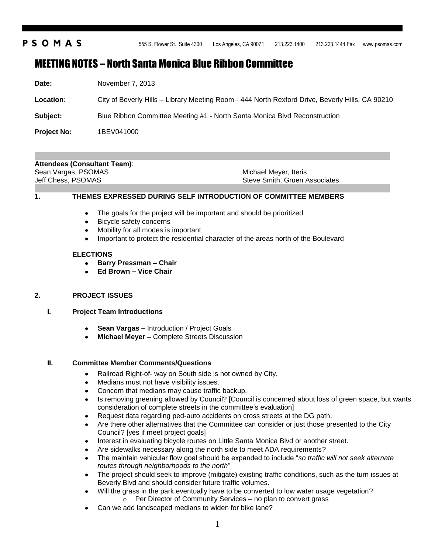# **PSOMAS**

555 S. Flower St. Suite 4300 Los Angeles, CA 90071 213.223.1400 213.223.1444 Fax www.psomas.com

# MEETING NOTES – North Santa Monica Blue Ribbon Committee

| Date: | November 7, 2013 |  |
|-------|------------------|--|
|       |                  |  |

**Location:** City of Beverly Hills – Library Meeting Room - 444 North Rexford Drive, Beverly Hills, CA 90210

**Subject:** Blue Ribbon Committee Meeting #1 - North Santa Monica Blvd Reconstruction

**Project No:** 1BEV041000

# **Attendees (Consultant Team)**:

Sean Vargas, PSOMAS Jeff Chess, PSOMAS

Michael Meyer, Iteris Steve Smith, Gruen Associates

**1. THEMES EXPRESSED DURING SELF INTRODUCTION OF COMMITTEE MEMBERS**

- The goals for the project will be important and should be prioritized  $\bullet$
- Bicycle safety concerns
- $\bullet$ Mobility for all modes is important
- Important to protect the residential character of the areas north of the Boulevard

### **ELECTIONS**

- **Barry Pressman – Chair**  $\bullet$
- **Ed Brown – Vice Chair**

# **2. PROJECT ISSUES**

### **I. Project Team Introductions**

- **Sean Vargas –** Introduction / Project Goals
- **Michael Meyer –** Complete Streets Discussion

# **II. Committee Member Comments/Questions**

- Railroad Right-of- way on South side is not owned by City.  $\bullet$
- Medians must not have visibility issues.
- $\bullet$ Concern that medians may cause traffic backup.
- Is removing greening allowed by Council? [Council is concerned about loss of green space, but wants  $\bullet$ consideration of complete streets in the committee's evaluation]
- Request data regarding ped-auto accidents on cross streets at the DG path.  $\bullet$
- Are there other alternatives that the Committee can consider or just those presented to the City Council? [yes if meet project goals]
- Interest in evaluating bicycle routes on Little Santa Monica Blvd or another street.
- Are sidewalks necessary along the north side to meet ADA requirements?
- The maintain vehicular flow goal should be expanded to include "*so traffic will not seek alternate routes through neighborhoods to the north*"
- The project should seek to improve (mitigate) existing traffic conditions, such as the turn issues at Beverly Blvd and should consider future traffic volumes.
- Will the grass in the park eventually have to be converted to low water usage vegetation? o Per Director of Community Services – no plan to convert grass
- Can we add landscaped medians to widen for bike lane?